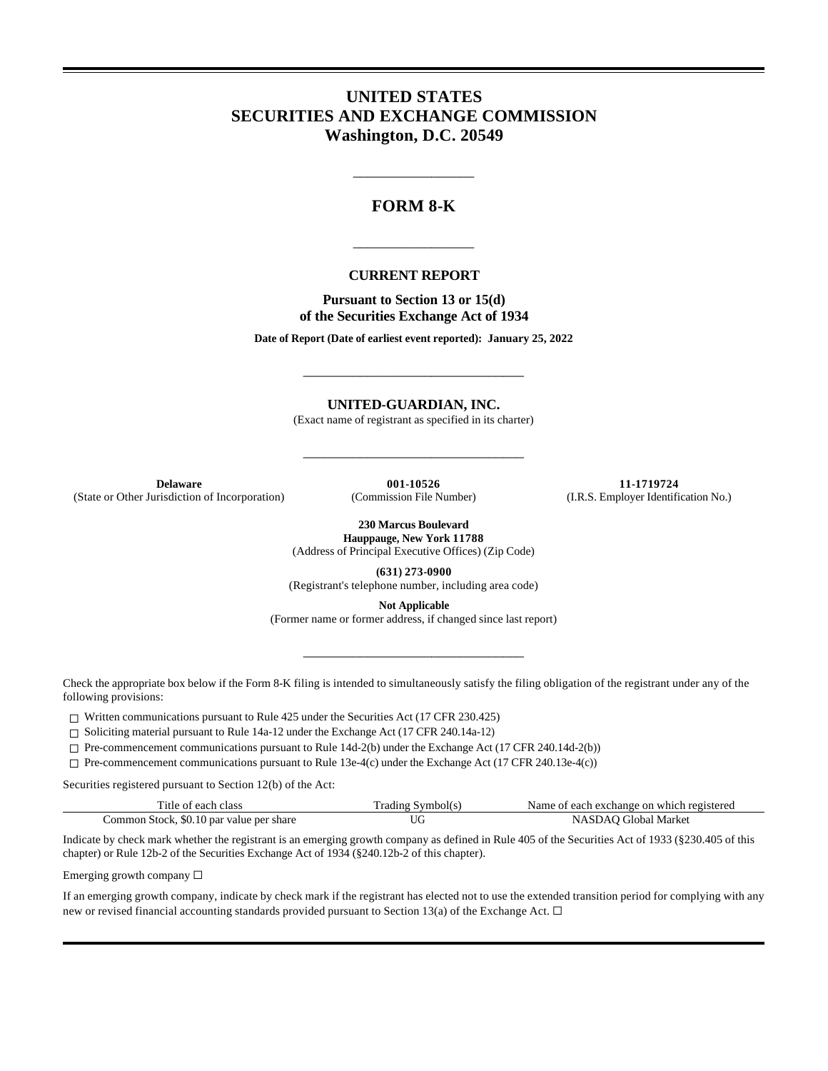# **UNITED STATES SECURITIES AND EXCHANGE COMMISSION Washington, D.C. 20549**

## **FORM 8-K**

\_\_\_\_\_\_\_\_\_\_\_\_\_\_\_\_\_

### **CURRENT REPORT**

\_\_\_\_\_\_\_\_\_\_\_\_\_\_\_\_\_

**Pursuant to Section 13 or 15(d) of the Securities Exchange Act of 1934**

**Date of Report (Date of earliest event reported): January 25, 2022**

\_\_\_\_\_\_\_\_\_\_\_\_\_\_\_\_\_\_\_\_\_\_\_\_\_\_\_\_\_\_\_

**UNITED-GUARDIAN, INC.**

(Exact name of registrant as specified in its charter)

\_\_\_\_\_\_\_\_\_\_\_\_\_\_\_\_\_\_\_\_\_\_\_\_\_\_\_\_\_\_\_

(State or Other Jurisdiction of Incorporation)

**Delaware 001-10526 11-1719724 11-1719724 11-1719724 11-1719724 11-1719724 11-1719724 11-1719724 11-1719724 11-1719724 11-1719724 11-1719724 11-1719724 11-1719724 11-1719724 11-1719724 11-**

**230 Marcus Boulevard**

**Hauppauge, New York 11788** (Address of Principal Executive Offices) (Zip Code)

**(631) 273-0900**

(Registrant's telephone number, including area code)

**Not Applicable**

(Former name or former address, if changed since last report)

\_\_\_\_\_\_\_\_\_\_\_\_\_\_\_\_\_\_\_\_\_\_\_\_\_\_\_\_\_\_\_

Check the appropriate box below if the Form 8-K filing is intended to simultaneously satisfy the filing obligation of the registrant under any of the following provisions:

 $\Box$  Written communications pursuant to Rule 425 under the Securities Act (17 CFR 230.425)

☐ Soliciting material pursuant to Rule 14a-12 under the Exchange Act (17 CFR 240.14a-12)

☐ Pre-commencement communications pursuant to Rule 14d-2(b) under the Exchange Act (17 CFR 240.14d-2(b))

☐ Pre-commencement communications pursuant to Rule 13e-4(c) under the Exchange Act (17 CFR 240.13e-4(c))

Securities registered pursuant to Section 12(b) of the Act:

| Title of each class                      | Trading Symbol(s) | Name of each exchange on which registered |
|------------------------------------------|-------------------|-------------------------------------------|
| Common Stock, \$0.10 par value per share | UC                | NASDAO Global Market                      |

Indicate by check mark whether the registrant is an emerging growth company as defined in Rule 405 of the Securities Act of 1933 (§230.405 of this chapter) or Rule 12b-2 of the Securities Exchange Act of 1934 (§240.12b-2 of this chapter).

Emerging growth company ☐

If an emerging growth company, indicate by check mark if the registrant has elected not to use the extended transition period for complying with any new or revised financial accounting standards provided pursuant to Section 13(a) of the Exchange Act.  $\Box$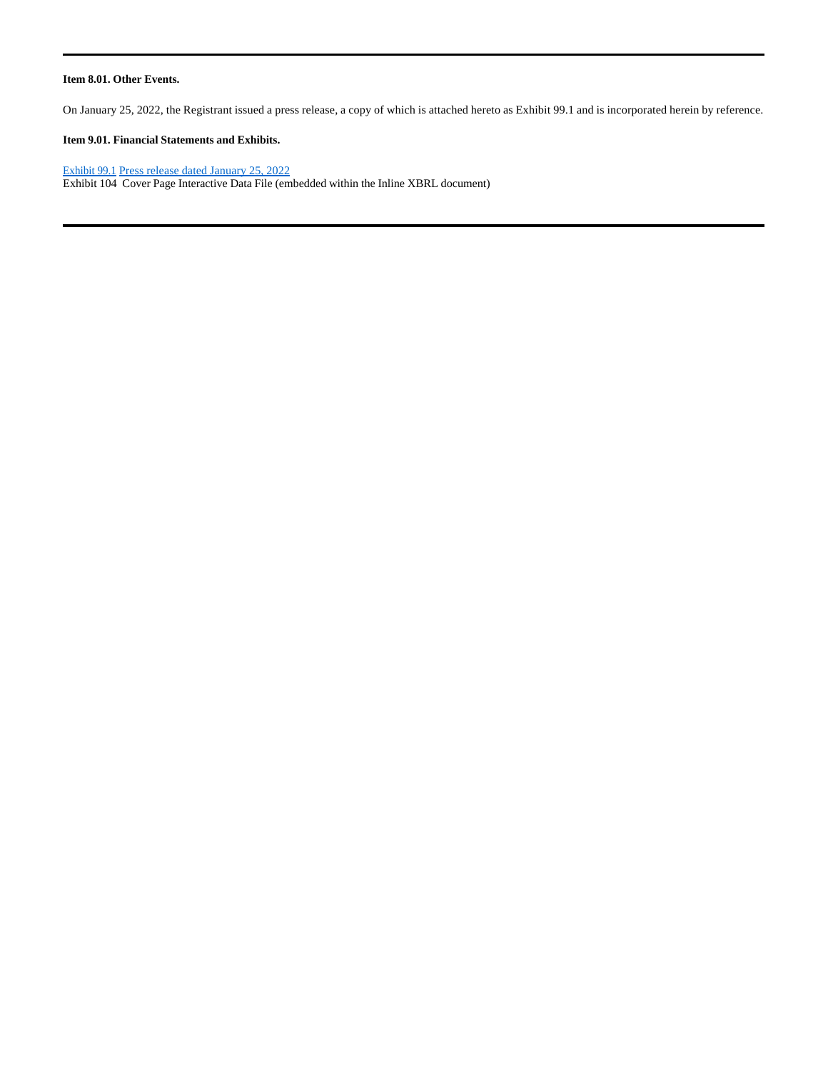#### **Item 8.01. Other Events.**

On January 25, 2022, the Registrant issued a press release, a copy of which is attached hereto as Exhibit 99.1 and is incorporated herein by reference.

### **Item 9.01. Financial Statements and Exhibits.**

### Exhibit 99.1 Press release dated January 25, 2022

Exhibit 104 Cover Page Interactive Data File (embedded within the Inline XBRL document)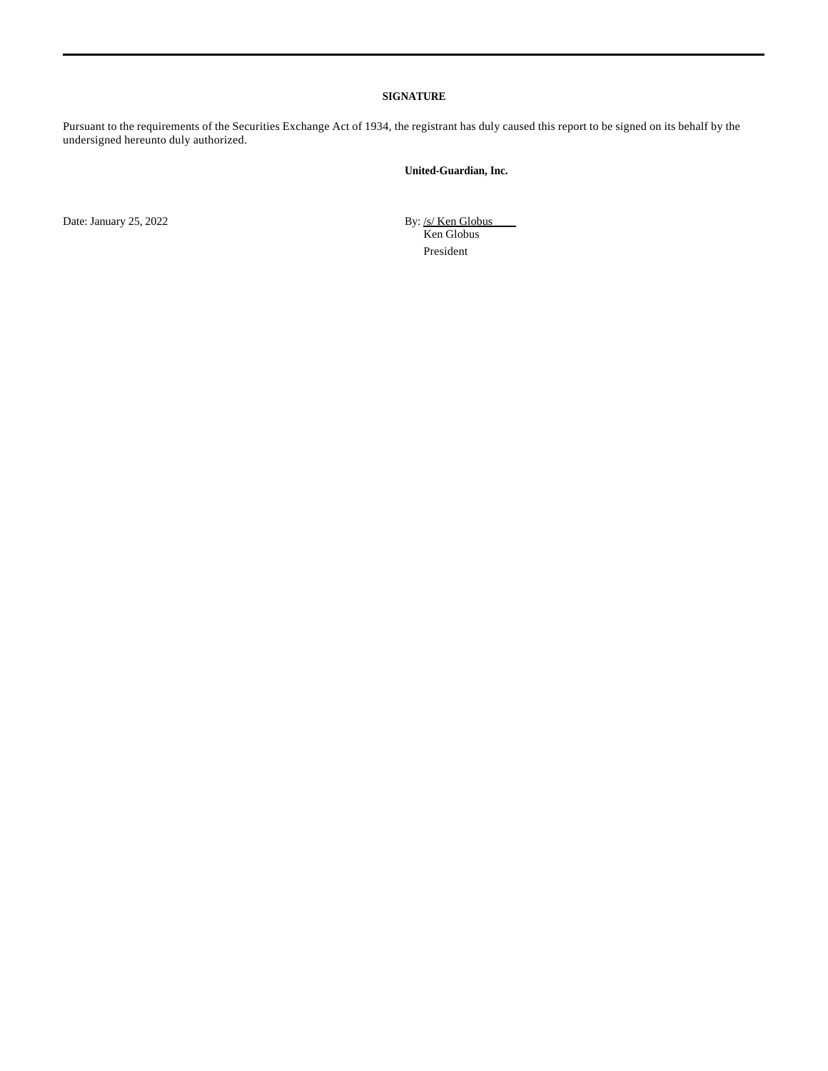#### **SIGNATURE**

Pursuant to the requirements of the Securities Exchange Act of 1934, the registrant has duly caused this report to be signed on its behalf by the undersigned hereunto duly authorized.

### **United-Guardian, Inc.**

Date: January 25, 2022

By: <u>/s/ Ken Globus</u><br>Ken Globus President